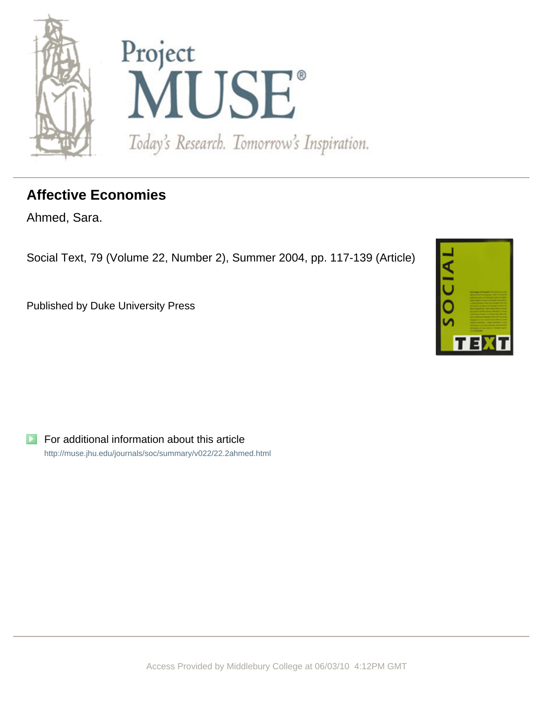



# **Affective Economies**

Ahmed, Sara.

Social Text, 79 (Volume 22, Number 2), Summer 2004, pp. 117-139 (Article)

Published by Duke University Press





For additional information about this article <http://muse.jhu.edu/journals/soc/summary/v022/22.2ahmed.html>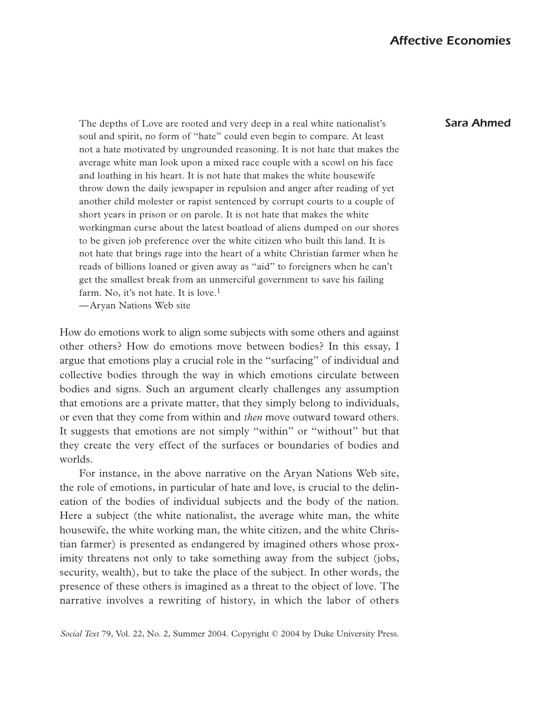# *Affective Economies*

The depths of Love are rooted and very deep in a real white nationalist's soul and spirit, no form of "hate" could even begin to compare. At least not a hate motivated by ungrounded reasoning. It is not hate that makes the average white man look upon a mixed race couple with a scowl on his face and loathing in his heart. It is not hate that makes the white housewife throw down the daily jewspaper in repulsion and anger after reading of yet another child molester or rapist sentenced by corrupt courts to a couple of short years in prison or on parole. It is not hate that makes the white workingman curse about the latest boatload of aliens dumped on our shores to be given job preference over the white citizen who built this land. It is not hate that brings rage into the heart of a white Christian farmer when he reads of billions loaned or given away as "aid" to foreigners when he can't get the smallest break from an unmerciful government to save his failing farm. No, it's not hate. It is love.<sup>1</sup>

—Aryan Nations Web site

How do emotions work to align some subjects with some others and against other others? How do emotions move between bodies? In this essay, I argue that emotions play a crucial role in the "surfacing" of individual and collective bodies through the way in which emotions circulate between bodies and signs. Such an argument clearly challenges any assumption that emotions are a private matter, that they simply belong to individuals, or even that they come from within and *then* move outward toward others. It suggests that emotions are not simply "within" or "without" but that they create the very effect of the surfaces or boundaries of bodies and worlds.

For instance, in the above narrative on the Aryan Nations Web site, the role of emotions, in particular of hate and love, is crucial to the delineation of the bodies of individual subjects and the body of the nation. Here a subject (the white nationalist, the average white man, the white housewife, the white working man, the white citizen, and the white Christian farmer) is presented as endangered by imagined others whose proximity threatens not only to take something away from the subject (jobs, security, wealth), but to take the place of the subject. In other words, the presence of these others is imagined as a threat to the object of love. The narrative involves a rewriting of history, in which the labor of others

*Social Text* 79, Vol. 22, No. 2, Summer 2004. Copyright © 2004 by Duke University Press.

## *Sara Ahmed*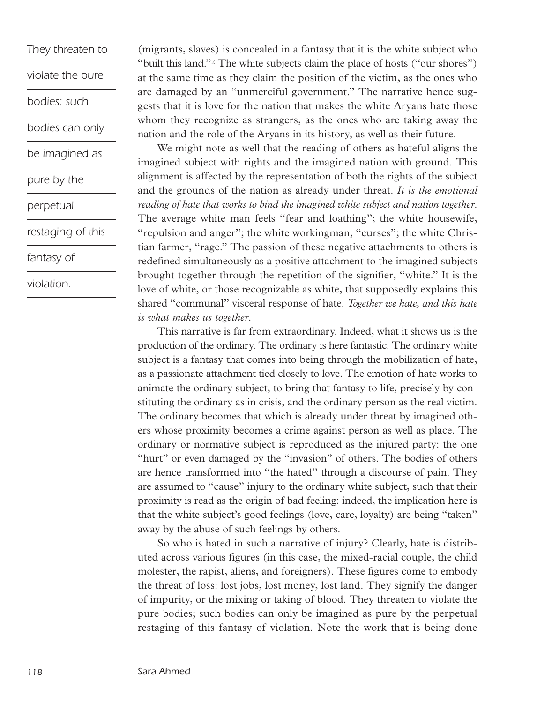*They threaten to* 

*violate the pure* 

*bodies; such* 

*bodies can only* 

### *be imagined as*

*pure by the* 

*perpetual* 

*restaging of this* 

*fantasy of* 

*violation.*

(migrants, slaves) is concealed in a fantasy that it is the white subject who "built this land."2 The white subjects claim the place of hosts ("our shores") at the same time as they claim the position of the victim, as the ones who are damaged by an "unmerciful government." The narrative hence suggests that it is love for the nation that makes the white Aryans hate those whom they recognize as strangers, as the ones who are taking away the nation and the role of the Aryans in its history, as well as their future.

We might note as well that the reading of others as hateful aligns the imagined subject with rights and the imagined nation with ground. This alignment is affected by the representation of both the rights of the subject and the grounds of the nation as already under threat. *It is the emotional reading of hate that works to bind the imagined white subject and nation together*. The average white man feels "fear and loathing"; the white housewife, "repulsion and anger"; the white workingman, "curses"; the white Christian farmer, "rage." The passion of these negative attachments to others is redefined simultaneously as a positive attachment to the imagined subjects brought together through the repetition of the signifier, "white." It is the love of white, or those recognizable as white, that supposedly explains this shared "communal" visceral response of hate. *Together we hate, and this hate is what makes us together*.

This narrative is far from extraordinary. Indeed, what it shows us is the production of the ordinary. The ordinary is here fantastic. The ordinary white subject is a fantasy that comes into being through the mobilization of hate, as a passionate attachment tied closely to love. The emotion of hate works to animate the ordinary subject, to bring that fantasy to life, precisely by constituting the ordinary as in crisis, and the ordinary person as the real victim. The ordinary becomes that which is already under threat by imagined others whose proximity becomes a crime against person as well as place. The ordinary or normative subject is reproduced as the injured party: the one "hurt" or even damaged by the "invasion" of others. The bodies of others are hence transformed into "the hated" through a discourse of pain. They are assumed to "cause" injury to the ordinary white subject, such that their proximity is read as the origin of bad feeling: indeed, the implication here is that the white subject's good feelings (love, care, loyalty) are being "taken" away by the abuse of such feelings by others.

So who is hated in such a narrative of injury? Clearly, hate is distributed across various figures (in this case, the mixed-racial couple, the child molester, the rapist, aliens, and foreigners). These figures come to embody the threat of loss: lost jobs, lost money, lost land. They signify the danger of impurity, or the mixing or taking of blood. They threaten to violate the pure bodies; such bodies can only be imagined as pure by the perpetual restaging of this fantasy of violation. Note the work that is being done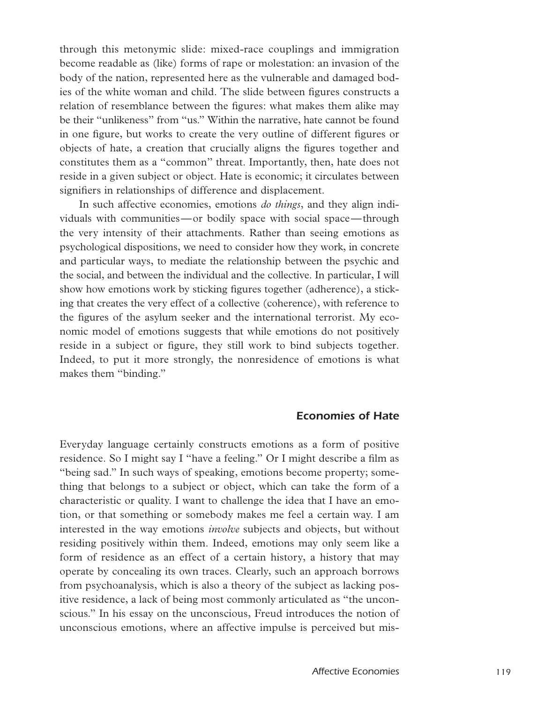through this metonymic slide: mixed-race couplings and immigration become readable as (like) forms of rape or molestation: an invasion of the body of the nation, represented here as the vulnerable and damaged bodies of the white woman and child. The slide between figures constructs a relation of resemblance between the figures: what makes them alike may be their "unlikeness" from "us." Within the narrative, hate cannot be found in one figure, but works to create the very outline of different figures or objects of hate, a creation that crucially aligns the figures together and constitutes them as a "common" threat. Importantly, then, hate does not reside in a given subject or object. Hate is economic; it circulates between signifiers in relationships of difference and displacement.

In such affective economies, emotions *do things*, and they align individuals with communities—or bodily space with social space—through the very intensity of their attachments. Rather than seeing emotions as psychological dispositions, we need to consider how they work, in concrete and particular ways, to mediate the relationship between the psychic and the social, and between the individual and the collective. In particular, I will show how emotions work by sticking figures together (adherence), a sticking that creates the very effect of a collective (coherence), with reference to the figures of the asylum seeker and the international terrorist. My economic model of emotions suggests that while emotions do not positively reside in a subject or figure, they still work to bind subjects together. Indeed, to put it more strongly, the nonresidence of emotions is what makes them "binding."

## *Economies of Hate*

Everyday language certainly constructs emotions as a form of positive residence. So I might say I "have a feeling." Or I might describe a film as "being sad." In such ways of speaking, emotions become property; something that belongs to a subject or object, which can take the form of a characteristic or quality. I want to challenge the idea that I have an emotion, or that something or somebody makes me feel a certain way. I am interested in the way emotions *involve* subjects and objects, but without residing positively within them. Indeed, emotions may only seem like a form of residence as an effect of a certain history, a history that may operate by concealing its own traces. Clearly, such an approach borrows from psychoanalysis, which is also a theory of the subject as lacking positive residence, a lack of being most commonly articulated as "the unconscious." In his essay on the unconscious, Freud introduces the notion of unconscious emotions, where an affective impulse is perceived but mis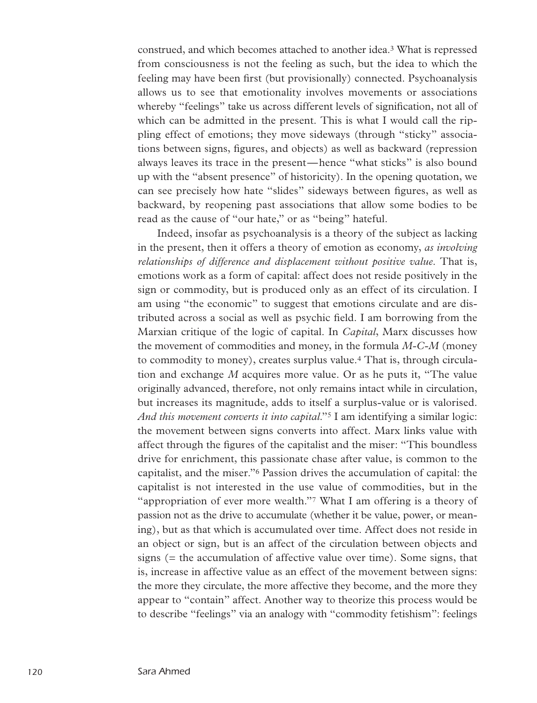construed, and which becomes attached to another idea.3 What is repressed from consciousness is not the feeling as such, but the idea to which the feeling may have been first (but provisionally) connected. Psychoanalysis allows us to see that emotionality involves movements or associations whereby "feelings" take us across different levels of signification, not all of which can be admitted in the present. This is what I would call the rippling effect of emotions; they move sideways (through "sticky" associations between signs, figures, and objects) as well as backward (repression always leaves its trace in the present—hence "what sticks" is also bound up with the "absent presence" of historicity). In the opening quotation, we can see precisely how hate "slides" sideways between figures, as well as backward, by reopening past associations that allow some bodies to be read as the cause of "our hate," or as "being" hateful.

Indeed, insofar as psychoanalysis is a theory of the subject as lacking in the present, then it offers a theory of emotion as economy, *as involving relationships of difference and displacement without positive value*. That is, emotions work as a form of capital: affect does not reside positively in the sign or commodity, but is produced only as an effect of its circulation. I am using "the economic" to suggest that emotions circulate and are distributed across a social as well as psychic field. I am borrowing from the Marxian critique of the logic of capital. In *Capital*, Marx discusses how the movement of commodities and money, in the formula *M-C-M* (money to commodity to money), creates surplus value.4 That is, through circulation and exchange *M* acquires more value. Or as he puts it, "The value originally advanced, therefore, not only remains intact while in circulation, but increases its magnitude, adds to itself a surplus-value or is valorised. *And this movement converts it into capital*."5 I am identifying a similar logic: the movement between signs converts into affect. Marx links value with affect through the figures of the capitalist and the miser: "This boundless drive for enrichment, this passionate chase after value, is common to the capitalist, and the miser."6 Passion drives the accumulation of capital: the capitalist is not interested in the use value of commodities, but in the "appropriation of ever more wealth."7 What I am offering is a theory of passion not as the drive to accumulate (whether it be value, power, or meaning), but as that which is accumulated over time. Affect does not reside in an object or sign, but is an affect of the circulation between objects and signs (= the accumulation of affective value over time). Some signs, that is, increase in affective value as an effect of the movement between signs: the more they circulate, the more affective they become, and the more they appear to "contain" affect. Another way to theorize this process would be to describe "feelings" via an analogy with "commodity fetishism": feelings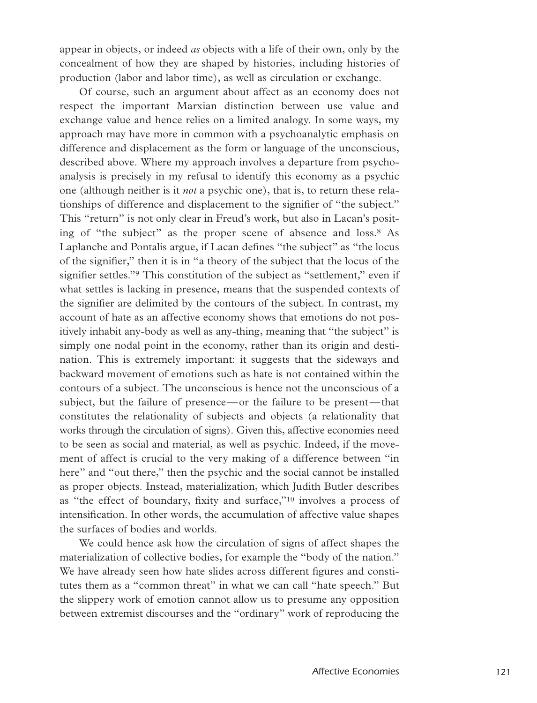appear in objects, or indeed *as* objects with a life of their own, only by the concealment of how they are shaped by histories, including histories of production (labor and labor time), as well as circulation or exchange.

Of course, such an argument about affect as an economy does not respect the important Marxian distinction between use value and exchange value and hence relies on a limited analogy. In some ways, my approach may have more in common with a psychoanalytic emphasis on difference and displacement as the form or language of the unconscious, described above. Where my approach involves a departure from psychoanalysis is precisely in my refusal to identify this economy as a psychic one (although neither is it *not* a psychic one), that is, to return these relationships of difference and displacement to the signifier of "the subject." This "return" is not only clear in Freud's work, but also in Lacan's positing of "the subject" as the proper scene of absence and loss.8 As Laplanche and Pontalis argue, if Lacan defines "the subject" as "the locus of the signifier," then it is in "a theory of the subject that the locus of the signifier settles."<sup>9</sup> This constitution of the subject as "settlement," even if what settles is lacking in presence, means that the suspended contexts of the signifier are delimited by the contours of the subject. In contrast, my account of hate as an affective economy shows that emotions do not positively inhabit any-body as well as any-thing, meaning that "the subject" is simply one nodal point in the economy, rather than its origin and destination. This is extremely important: it suggests that the sideways and backward movement of emotions such as hate is not contained within the contours of a subject. The unconscious is hence not the unconscious of a subject, but the failure of presence—or the failure to be present—that constitutes the relationality of subjects and objects (a relationality that works through the circulation of signs). Given this, affective economies need to be seen as social and material, as well as psychic. Indeed, if the movement of affect is crucial to the very making of a difference between "in here" and "out there," then the psychic and the social cannot be installed as proper objects. Instead, materialization, which Judith Butler describes as "the effect of boundary, fixity and surface,"10 involves a process of intensification. In other words, the accumulation of affective value shapes the surfaces of bodies and worlds.

We could hence ask how the circulation of signs of affect shapes the materialization of collective bodies, for example the "body of the nation." We have already seen how hate slides across different figures and constitutes them as a "common threat" in what we can call "hate speech." But the slippery work of emotion cannot allow us to presume any opposition between extremist discourses and the "ordinary" work of reproducing the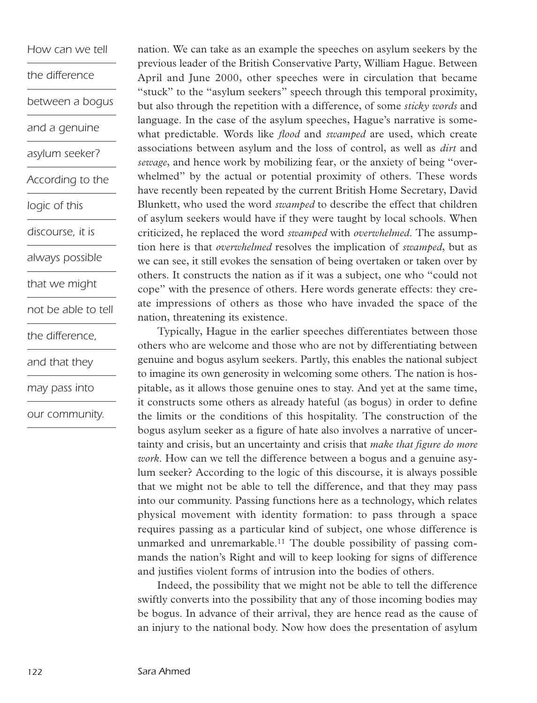*How can we tell* 

*the difference* 

*between a bogus* 

*and a genuine* 

*asylum seeker?* 

*According to the* 

*logic of this* 

*discourse, it is* 

*always possible* 

*that we might* 

*not be able to tell* 

*the difference,* 

*and that they* 

*may pass into* 

*our community.*

nation. We can take as an example the speeches on asylum seekers by the previous leader of the British Conservative Party, William Hague. Between April and June 2000, other speeches were in circulation that became "stuck" to the "asylum seekers" speech through this temporal proximity, but also through the repetition with a difference, of some *sticky words* and language. In the case of the asylum speeches, Hague's narrative is somewhat predictable. Words like *flood* and *swamped* are used, which create associations between asylum and the loss of control, as well as *dirt* and *sewage*, and hence work by mobilizing fear, or the anxiety of being "overwhelmed" by the actual or potential proximity of others. These words have recently been repeated by the current British Home Secretary, David Blunkett, who used the word *swamped* to describe the effect that children of asylum seekers would have if they were taught by local schools. When criticized, he replaced the word *swamped* with *overwhelmed*. The assumption here is that *overwhelmed* resolves the implication of *swamped*, but as we can see, it still evokes the sensation of being overtaken or taken over by others. It constructs the nation as if it was a subject, one who "could not cope" with the presence of others. Here words generate effects: they create impressions of others as those who have invaded the space of the nation, threatening its existence.

Typically, Hague in the earlier speeches differentiates between those others who are welcome and those who are not by differentiating between genuine and bogus asylum seekers. Partly, this enables the national subject to imagine its own generosity in welcoming some others. The nation is hospitable, as it allows those genuine ones to stay. And yet at the same time, it constructs some others as already hateful (as bogus) in order to define the limits or the conditions of this hospitality. The construction of the bogus asylum seeker as a figure of hate also involves a narrative of uncertainty and crisis, but an uncertainty and crisis that *make that figure do more work*. How can we tell the difference between a bogus and a genuine asylum seeker? According to the logic of this discourse, it is always possible that we might not be able to tell the difference, and that they may pass into our community. Passing functions here as a technology, which relates physical movement with identity formation: to pass through a space requires passing as a particular kind of subject, one whose difference is unmarked and unremarkable.11 The double possibility of passing commands the nation's Right and will to keep looking for signs of difference and justifies violent forms of intrusion into the bodies of others.

Indeed, the possibility that we might not be able to tell the difference swiftly converts into the possibility that any of those incoming bodies may be bogus. In advance of their arrival, they are hence read as the cause of an injury to the national body. Now how does the presentation of asylum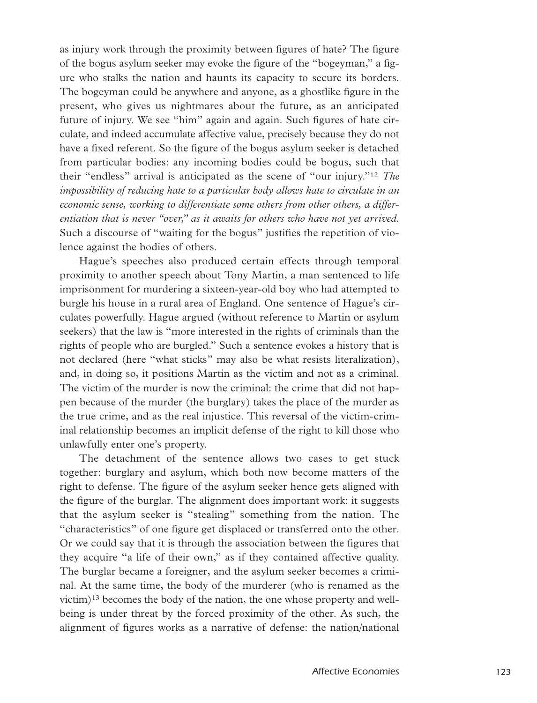as injury work through the proximity between figures of hate? The figure of the bogus asylum seeker may evoke the figure of the "bogeyman," a figure who stalks the nation and haunts its capacity to secure its borders. The bogeyman could be anywhere and anyone, as a ghostlike figure in the present, who gives us nightmares about the future, as an anticipated future of injury. We see "him" again and again. Such figures of hate circulate, and indeed accumulate affective value, precisely because they do not have a fixed referent. So the figure of the bogus asylum seeker is detached from particular bodies: any incoming bodies could be bogus, such that their "endless" arrival is anticipated as the scene of "our injury."12 *The impossibility of reducing hate to a particular body allows hate to circulate in an economic sense, working to differentiate some others from other others, a differentiation that is never "over," as it awaits for others who have not yet arrived*. Such a discourse of "waiting for the bogus" justifies the repetition of violence against the bodies of others.

Hague's speeches also produced certain effects through temporal proximity to another speech about Tony Martin, a man sentenced to life imprisonment for murdering a sixteen-year-old boy who had attempted to burgle his house in a rural area of England. One sentence of Hague's circulates powerfully. Hague argued (without reference to Martin or asylum seekers) that the law is "more interested in the rights of criminals than the rights of people who are burgled." Such a sentence evokes a history that is not declared (here "what sticks" may also be what resists literalization), and, in doing so, it positions Martin as the victim and not as a criminal. The victim of the murder is now the criminal: the crime that did not happen because of the murder (the burglary) takes the place of the murder as the true crime, and as the real injustice. This reversal of the victim-criminal relationship becomes an implicit defense of the right to kill those who unlawfully enter one's property.

The detachment of the sentence allows two cases to get stuck together: burglary and asylum, which both now become matters of the right to defense. The figure of the asylum seeker hence gets aligned with the figure of the burglar. The alignment does important work: it suggests that the asylum seeker is "stealing" something from the nation. The "characteristics" of one figure get displaced or transferred onto the other. Or we could say that it is through the association between the figures that they acquire "a life of their own," as if they contained affective quality. The burglar became a foreigner, and the asylum seeker becomes a criminal. At the same time, the body of the murderer (who is renamed as the victim)13 becomes the body of the nation, the one whose property and wellbeing is under threat by the forced proximity of the other. As such, the alignment of figures works as a narrative of defense: the nation/national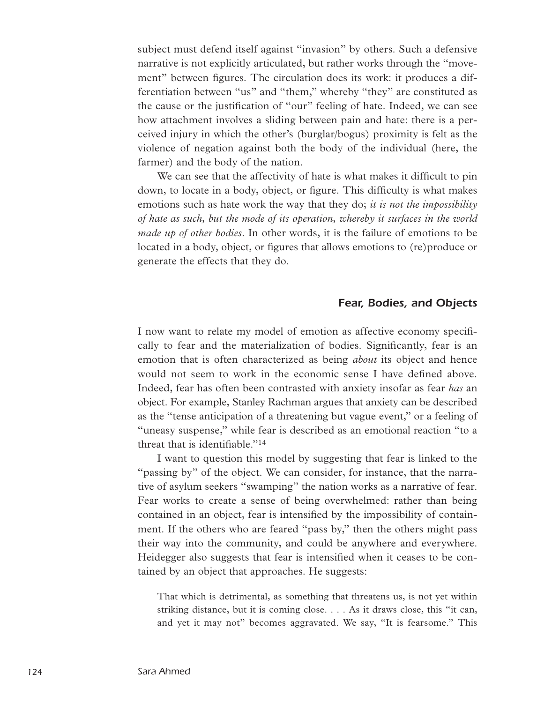subject must defend itself against "invasion" by others. Such a defensive narrative is not explicitly articulated, but rather works through the "movement" between figures. The circulation does its work: it produces a differentiation between "us" and "them," whereby "they" are constituted as the cause or the justification of "our" feeling of hate. Indeed, we can see how attachment involves a sliding between pain and hate: there is a perceived injury in which the other's (burglar/bogus) proximity is felt as the violence of negation against both the body of the individual (here, the farmer) and the body of the nation.

We can see that the affectivity of hate is what makes it difficult to pin down, to locate in a body, object, or figure. This difficulty is what makes emotions such as hate work the way that they do; *it is not the impossibility of hate as such, but the mode of its operation, whereby it surfaces in the world made up of other bodies*. In other words, it is the failure of emotions to be located in a body, object, or figures that allows emotions to (re)produce or generate the effects that they do.

#### *Fear, Bodies, and Objects*

I now want to relate my model of emotion as affective economy specifically to fear and the materialization of bodies. Significantly, fear is an emotion that is often characterized as being *about* its object and hence would not seem to work in the economic sense I have defined above. Indeed, fear has often been contrasted with anxiety insofar as fear *has* an object. For example, Stanley Rachman argues that anxiety can be described as the "tense anticipation of a threatening but vague event," or a feeling of "uneasy suspense," while fear is described as an emotional reaction "to a threat that is identifiable."14

I want to question this model by suggesting that fear is linked to the "passing by" of the object. We can consider, for instance, that the narrative of asylum seekers "swamping" the nation works as a narrative of fear. Fear works to create a sense of being overwhelmed: rather than being contained in an object, fear is intensified by the impossibility of containment. If the others who are feared "pass by," then the others might pass their way into the community, and could be anywhere and everywhere. Heidegger also suggests that fear is intensified when it ceases to be contained by an object that approaches. He suggests:

That which is detrimental, as something that threatens us, is not yet within striking distance, but it is coming close. . . . As it draws close, this "it can, and yet it may not" becomes aggravated. We say, "It is fearsome." This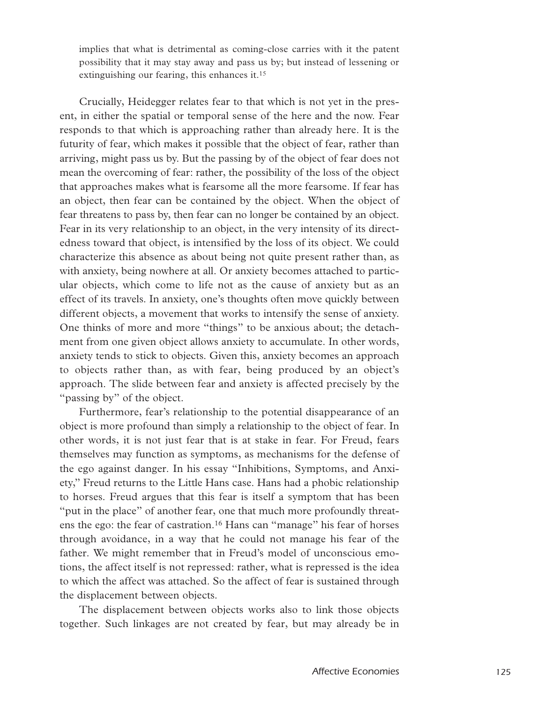implies that what is detrimental as coming-close carries with it the patent possibility that it may stay away and pass us by; but instead of lessening or extinguishing our fearing, this enhances it.15

Crucially, Heidegger relates fear to that which is not yet in the present, in either the spatial or temporal sense of the here and the now. Fear responds to that which is approaching rather than already here. It is the futurity of fear, which makes it possible that the object of fear, rather than arriving, might pass us by. But the passing by of the object of fear does not mean the overcoming of fear: rather, the possibility of the loss of the object that approaches makes what is fearsome all the more fearsome. If fear has an object, then fear can be contained by the object. When the object of fear threatens to pass by, then fear can no longer be contained by an object. Fear in its very relationship to an object, in the very intensity of its directedness toward that object, is intensified by the loss of its object. We could characterize this absence as about being not quite present rather than, as with anxiety, being nowhere at all. Or anxiety becomes attached to particular objects, which come to life not as the cause of anxiety but as an effect of its travels. In anxiety, one's thoughts often move quickly between different objects, a movement that works to intensify the sense of anxiety. One thinks of more and more "things" to be anxious about; the detachment from one given object allows anxiety to accumulate. In other words, anxiety tends to stick to objects. Given this, anxiety becomes an approach to objects rather than, as with fear, being produced by an object's approach. The slide between fear and anxiety is affected precisely by the "passing by" of the object.

Furthermore, fear's relationship to the potential disappearance of an object is more profound than simply a relationship to the object of fear. In other words, it is not just fear that is at stake in fear. For Freud, fears themselves may function as symptoms, as mechanisms for the defense of the ego against danger. In his essay "Inhibitions, Symptoms, and Anxiety," Freud returns to the Little Hans case. Hans had a phobic relationship to horses. Freud argues that this fear is itself a symptom that has been "put in the place" of another fear, one that much more profoundly threatens the ego: the fear of castration.16 Hans can "manage" his fear of horses through avoidance, in a way that he could not manage his fear of the father. We might remember that in Freud's model of unconscious emotions, the affect itself is not repressed: rather, what is repressed is the idea to which the affect was attached. So the affect of fear is sustained through the displacement between objects.

The displacement between objects works also to link those objects together. Such linkages are not created by fear, but may already be in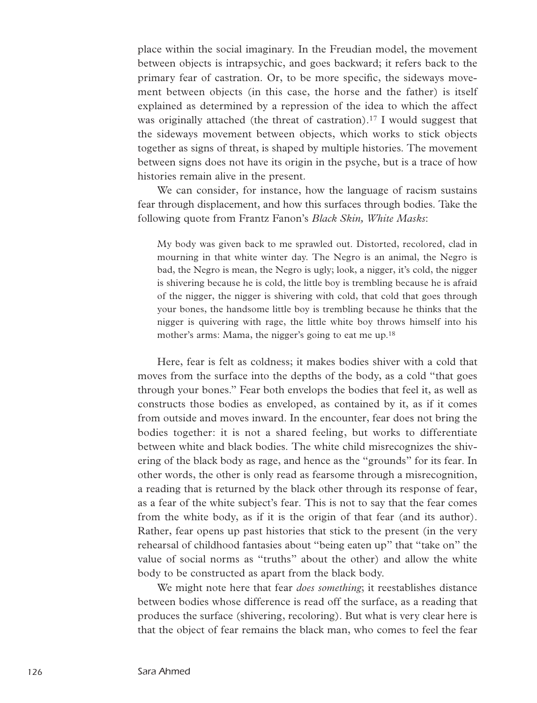place within the social imaginary. In the Freudian model, the movement between objects is intrapsychic, and goes backward; it refers back to the primary fear of castration. Or, to be more specific, the sideways movement between objects (in this case, the horse and the father) is itself explained as determined by a repression of the idea to which the affect was originally attached (the threat of castration).<sup>17</sup> I would suggest that the sideways movement between objects, which works to stick objects together as signs of threat, is shaped by multiple histories. The movement between signs does not have its origin in the psyche, but is a trace of how histories remain alive in the present.

We can consider, for instance, how the language of racism sustains fear through displacement, and how this surfaces through bodies. Take the following quote from Frantz Fanon's *Black Skin, White Masks*:

My body was given back to me sprawled out. Distorted, recolored, clad in mourning in that white winter day. The Negro is an animal, the Negro is bad, the Negro is mean, the Negro is ugly; look, a nigger, it's cold, the nigger is shivering because he is cold, the little boy is trembling because he is afraid of the nigger, the nigger is shivering with cold, that cold that goes through your bones, the handsome little boy is trembling because he thinks that the nigger is quivering with rage, the little white boy throws himself into his mother's arms: Mama, the nigger's going to eat me up.18

Here, fear is felt as coldness; it makes bodies shiver with a cold that moves from the surface into the depths of the body, as a cold "that goes through your bones." Fear both envelops the bodies that feel it, as well as constructs those bodies as enveloped, as contained by it, as if it comes from outside and moves inward. In the encounter, fear does not bring the bodies together: it is not a shared feeling, but works to differentiate between white and black bodies. The white child misrecognizes the shivering of the black body as rage, and hence as the "grounds" for its fear. In other words, the other is only read as fearsome through a misrecognition, a reading that is returned by the black other through its response of fear, as a fear of the white subject's fear. This is not to say that the fear comes from the white body, as if it is the origin of that fear (and its author). Rather, fear opens up past histories that stick to the present (in the very rehearsal of childhood fantasies about "being eaten up" that "take on" the value of social norms as "truths" about the other) and allow the white body to be constructed as apart from the black body.

We might note here that fear *does something*; it reestablishes distance between bodies whose difference is read off the surface, as a reading that produces the surface (shivering, recoloring). But what is very clear here is that the object of fear remains the black man, who comes to feel the fear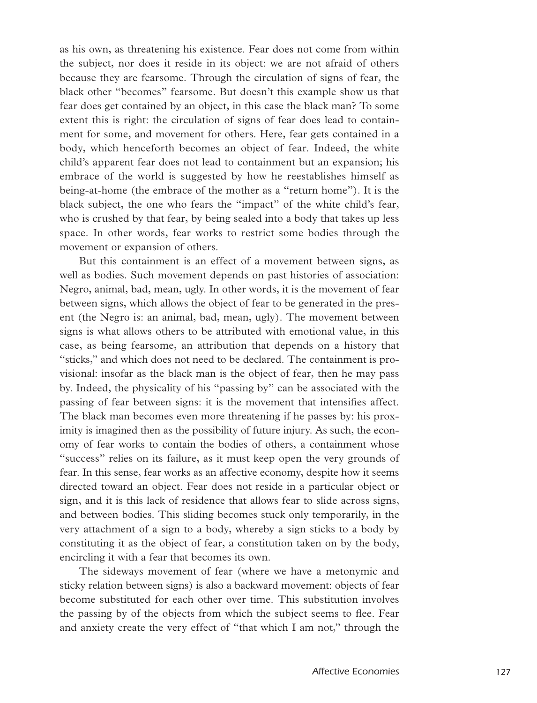as his own, as threatening his existence. Fear does not come from within the subject, nor does it reside in its object: we are not afraid of others because they are fearsome. Through the circulation of signs of fear, the black other "becomes" fearsome. But doesn't this example show us that fear does get contained by an object, in this case the black man? To some extent this is right: the circulation of signs of fear does lead to containment for some, and movement for others. Here, fear gets contained in a body, which henceforth becomes an object of fear. Indeed, the white child's apparent fear does not lead to containment but an expansion; his embrace of the world is suggested by how he reestablishes himself as being-at-home (the embrace of the mother as a "return home"). It is the black subject, the one who fears the "impact" of the white child's fear, who is crushed by that fear, by being sealed into a body that takes up less space. In other words, fear works to restrict some bodies through the movement or expansion of others.

But this containment is an effect of a movement between signs, as well as bodies. Such movement depends on past histories of association: Negro, animal, bad, mean, ugly. In other words, it is the movement of fear between signs, which allows the object of fear to be generated in the present (the Negro is: an animal, bad, mean, ugly). The movement between signs is what allows others to be attributed with emotional value, in this case, as being fearsome, an attribution that depends on a history that "sticks," and which does not need to be declared. The containment is provisional: insofar as the black man is the object of fear, then he may pass by. Indeed, the physicality of his "passing by" can be associated with the passing of fear between signs: it is the movement that intensifies affect. The black man becomes even more threatening if he passes by: his proximity is imagined then as the possibility of future injury. As such, the economy of fear works to contain the bodies of others, a containment whose "success" relies on its failure, as it must keep open the very grounds of fear. In this sense, fear works as an affective economy, despite how it seems directed toward an object. Fear does not reside in a particular object or sign, and it is this lack of residence that allows fear to slide across signs, and between bodies. This sliding becomes stuck only temporarily, in the very attachment of a sign to a body, whereby a sign sticks to a body by constituting it as the object of fear, a constitution taken on by the body, encircling it with a fear that becomes its own.

The sideways movement of fear (where we have a metonymic and sticky relation between signs) is also a backward movement: objects of fear become substituted for each other over time. This substitution involves the passing by of the objects from which the subject seems to flee. Fear and anxiety create the very effect of "that which I am not," through the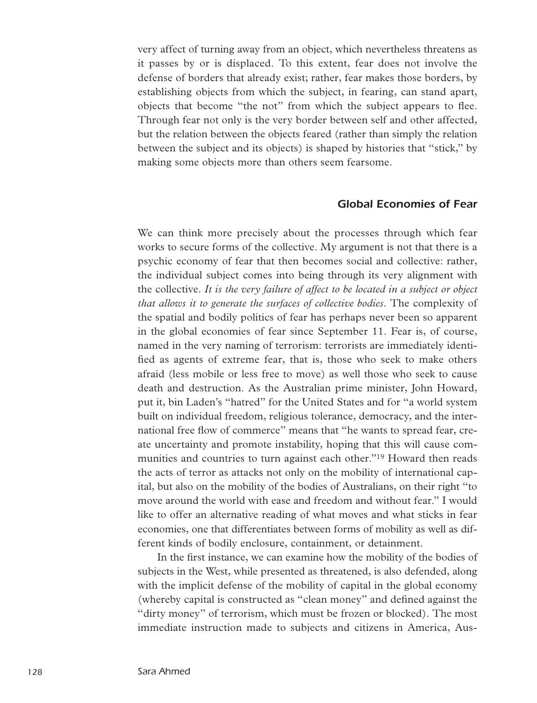very affect of turning away from an object, which nevertheless threatens as it passes by or is displaced. To this extent, fear does not involve the defense of borders that already exist; rather, fear makes those borders, by establishing objects from which the subject, in fearing, can stand apart, objects that become "the not" from which the subject appears to flee. Through fear not only is the very border between self and other affected, but the relation between the objects feared (rather than simply the relation between the subject and its objects) is shaped by histories that "stick," by making some objects more than others seem fearsome.

## *Global Economies of Fear*

We can think more precisely about the processes through which fear works to secure forms of the collective. My argument is not that there is a psychic economy of fear that then becomes social and collective: rather, the individual subject comes into being through its very alignment with the collective. *It is the very failure of affect to be located in a subject or object that allows it to generate the surfaces of collective bodies*. The complexity of the spatial and bodily politics of fear has perhaps never been so apparent in the global economies of fear since September 11. Fear is, of course, named in the very naming of terrorism: terrorists are immediately identified as agents of extreme fear, that is, those who seek to make others afraid (less mobile or less free to move) as well those who seek to cause death and destruction. As the Australian prime minister, John Howard, put it, bin Laden's "hatred" for the United States and for "a world system built on individual freedom, religious tolerance, democracy, and the international free flow of commerce" means that "he wants to spread fear, create uncertainty and promote instability, hoping that this will cause communities and countries to turn against each other."19 Howard then reads the acts of terror as attacks not only on the mobility of international capital, but also on the mobility of the bodies of Australians, on their right "to move around the world with ease and freedom and without fear." I would like to offer an alternative reading of what moves and what sticks in fear economies, one that differentiates between forms of mobility as well as different kinds of bodily enclosure, containment, or detainment.

In the first instance, we can examine how the mobility of the bodies of subjects in the West, while presented as threatened, is also defended, along with the implicit defense of the mobility of capital in the global economy (whereby capital is constructed as "clean money" and defined against the "dirty money" of terrorism, which must be frozen or blocked). The most immediate instruction made to subjects and citizens in America, Aus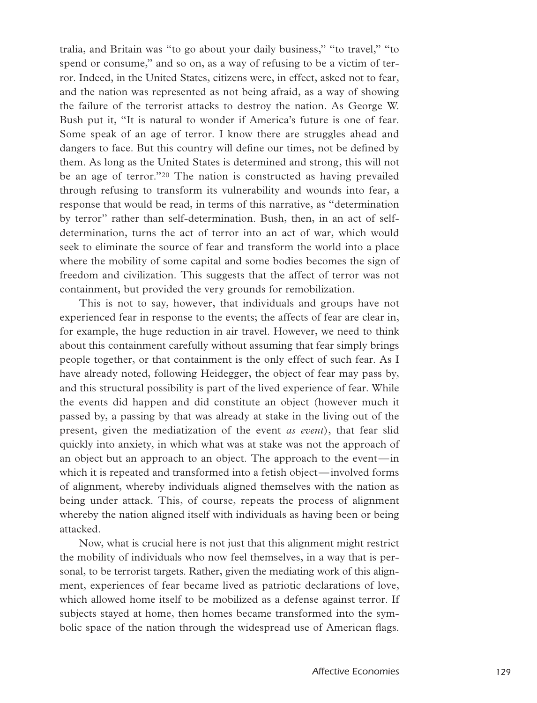tralia, and Britain was "to go about your daily business," "to travel," "to spend or consume," and so on, as a way of refusing to be a victim of terror. Indeed, in the United States, citizens were, in effect, asked not to fear, and the nation was represented as not being afraid, as a way of showing the failure of the terrorist attacks to destroy the nation. As George W. Bush put it, "It is natural to wonder if America's future is one of fear. Some speak of an age of terror. I know there are struggles ahead and dangers to face. But this country will define our times, not be defined by them. As long as the United States is determined and strong, this will not be an age of terror."20 The nation is constructed as having prevailed through refusing to transform its vulnerability and wounds into fear, a response that would be read, in terms of this narrative, as "determination by terror" rather than self-determination. Bush, then, in an act of selfdetermination, turns the act of terror into an act of war, which would seek to eliminate the source of fear and transform the world into a place where the mobility of some capital and some bodies becomes the sign of freedom and civilization. This suggests that the affect of terror was not containment, but provided the very grounds for remobilization.

This is not to say, however, that individuals and groups have not experienced fear in response to the events; the affects of fear are clear in, for example, the huge reduction in air travel. However, we need to think about this containment carefully without assuming that fear simply brings people together, or that containment is the only effect of such fear. As I have already noted, following Heidegger, the object of fear may pass by, and this structural possibility is part of the lived experience of fear. While the events did happen and did constitute an object (however much it passed by, a passing by that was already at stake in the living out of the present, given the mediatization of the event *as event*), that fear slid quickly into anxiety, in which what was at stake was not the approach of an object but an approach to an object. The approach to the event—in which it is repeated and transformed into a fetish object—involved forms of alignment, whereby individuals aligned themselves with the nation as being under attack. This, of course, repeats the process of alignment whereby the nation aligned itself with individuals as having been or being attacked.

Now, what is crucial here is not just that this alignment might restrict the mobility of individuals who now feel themselves, in a way that is personal, to be terrorist targets. Rather, given the mediating work of this alignment, experiences of fear became lived as patriotic declarations of love, which allowed home itself to be mobilized as a defense against terror. If subjects stayed at home, then homes became transformed into the symbolic space of the nation through the widespread use of American flags.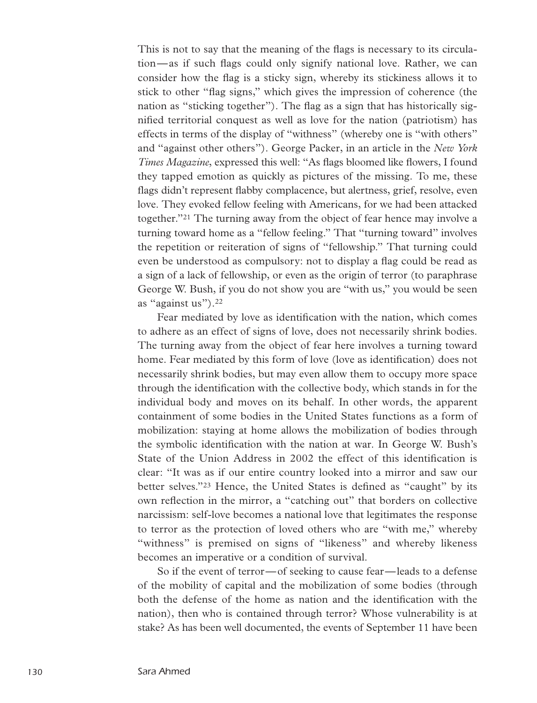This is not to say that the meaning of the flags is necessary to its circulation—as if such flags could only signify national love. Rather, we can consider how the flag is a sticky sign, whereby its stickiness allows it to stick to other "flag signs," which gives the impression of coherence (the nation as "sticking together"). The flag as a sign that has historically signified territorial conquest as well as love for the nation (patriotism) has effects in terms of the display of "withness" (whereby one is "with others" and "against other others"). George Packer, in an article in the *New York Times Magazine*, expressed this well: "As flags bloomed like flowers, I found they tapped emotion as quickly as pictures of the missing. To me, these flags didn't represent flabby complacence, but alertness, grief, resolve, even love. They evoked fellow feeling with Americans, for we had been attacked together."21 The turning away from the object of fear hence may involve a turning toward home as a "fellow feeling." That "turning toward" involves the repetition or reiteration of signs of "fellowship." That turning could even be understood as compulsory: not to display a flag could be read as a sign of a lack of fellowship, or even as the origin of terror (to paraphrase George W. Bush, if you do not show you are "with us," you would be seen as "against us").22

Fear mediated by love as identification with the nation, which comes to adhere as an effect of signs of love, does not necessarily shrink bodies. The turning away from the object of fear here involves a turning toward home. Fear mediated by this form of love (love as identification) does not necessarily shrink bodies, but may even allow them to occupy more space through the identification with the collective body, which stands in for the individual body and moves on its behalf. In other words, the apparent containment of some bodies in the United States functions as a form of mobilization: staying at home allows the mobilization of bodies through the symbolic identification with the nation at war. In George W. Bush's State of the Union Address in 2002 the effect of this identification is clear: "It was as if our entire country looked into a mirror and saw our better selves."23 Hence, the United States is defined as "caught" by its own reflection in the mirror, a "catching out" that borders on collective narcissism: self-love becomes a national love that legitimates the response to terror as the protection of loved others who are "with me," whereby "withness" is premised on signs of "likeness" and whereby likeness becomes an imperative or a condition of survival.

So if the event of terror—of seeking to cause fear—leads to a defense of the mobility of capital and the mobilization of some bodies (through both the defense of the home as nation and the identification with the nation), then who is contained through terror? Whose vulnerability is at stake? As has been well documented, the events of September 11 have been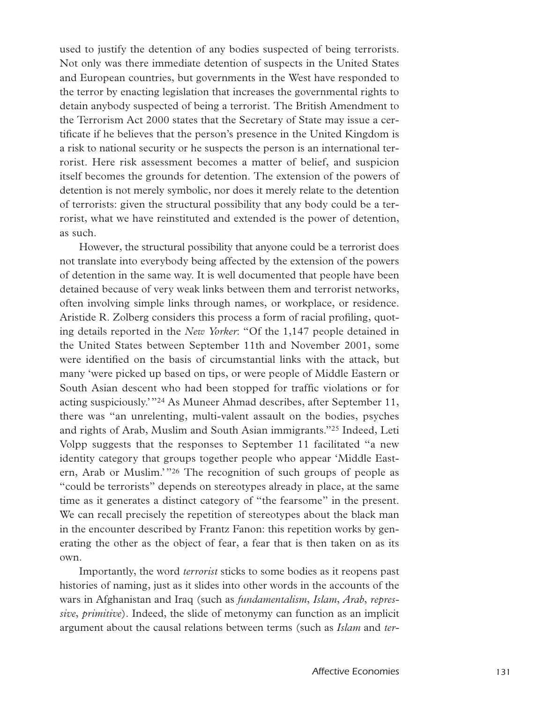used to justify the detention of any bodies suspected of being terrorists. Not only was there immediate detention of suspects in the United States and European countries, but governments in the West have responded to the terror by enacting legislation that increases the governmental rights to detain anybody suspected of being a terrorist. The British Amendment to the Terrorism Act 2000 states that the Secretary of State may issue a certificate if he believes that the person's presence in the United Kingdom is a risk to national security or he suspects the person is an international terrorist. Here risk assessment becomes a matter of belief, and suspicion itself becomes the grounds for detention. The extension of the powers of detention is not merely symbolic, nor does it merely relate to the detention of terrorists: given the structural possibility that any body could be a terrorist, what we have reinstituted and extended is the power of detention, as such.

However, the structural possibility that anyone could be a terrorist does not translate into everybody being affected by the extension of the powers of detention in the same way. It is well documented that people have been detained because of very weak links between them and terrorist networks, often involving simple links through names, or workplace, or residence. Aristide R. Zolberg considers this process a form of racial profiling, quoting details reported in the *New Yorker*: "Of the 1,147 people detained in the United States between September 11th and November 2001, some were identified on the basis of circumstantial links with the attack, but many 'were picked up based on tips, or were people of Middle Eastern or South Asian descent who had been stopped for traffic violations or for acting suspiciously.'"24 As Muneer Ahmad describes, after September 11, there was "an unrelenting, multi-valent assault on the bodies, psyches and rights of Arab, Muslim and South Asian immigrants."25 Indeed, Leti Volpp suggests that the responses to September 11 facilitated "a new identity category that groups together people who appear 'Middle Eastern, Arab or Muslim.'"26 The recognition of such groups of people as "could be terrorists" depends on stereotypes already in place, at the same time as it generates a distinct category of "the fearsome" in the present. We can recall precisely the repetition of stereotypes about the black man in the encounter described by Frantz Fanon: this repetition works by generating the other as the object of fear, a fear that is then taken on as its own.

Importantly, the word *terrorist* sticks to some bodies as it reopens past histories of naming, just as it slides into other words in the accounts of the wars in Afghanistan and Iraq (such as *fundamentalism*, *Islam*, *Arab*, *repressive*, *primitive*). Indeed, the slide of metonymy can function as an implicit argument about the causal relations between terms (such as *Islam* and *ter-*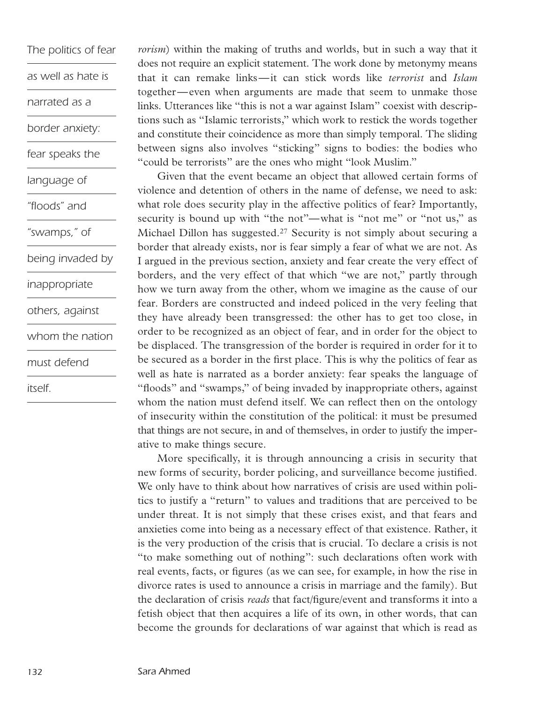*The politics of fear as well as hate is narrated as a border anxiety: fear speaks the language of "floods" and "swamps," of being invaded by inappropriate others, against whom the nation must defend itself.*

*rorism*) within the making of truths and worlds, but in such a way that it does not require an explicit statement. The work done by metonymy means that it can remake links—it can stick words like *terrorist* and *Islam* together—even when arguments are made that seem to unmake those links. Utterances like "this is not a war against Islam" coexist with descriptions such as "Islamic terrorists," which work to restick the words together and constitute their coincidence as more than simply temporal. The sliding between signs also involves "sticking" signs to bodies: the bodies who "could be terrorists" are the ones who might "look Muslim."

Given that the event became an object that allowed certain forms of violence and detention of others in the name of defense, we need to ask: what role does security play in the affective politics of fear? Importantly, security is bound up with "the not"—what is "not me" or "not us," as Michael Dillon has suggested.<sup>27</sup> Security is not simply about securing a border that already exists, nor is fear simply a fear of what we are not. As I argued in the previous section, anxiety and fear create the very effect of borders, and the very effect of that which "we are not," partly through how we turn away from the other, whom we imagine as the cause of our fear. Borders are constructed and indeed policed in the very feeling that they have already been transgressed: the other has to get too close, in order to be recognized as an object of fear, and in order for the object to be displaced. The transgression of the border is required in order for it to be secured as a border in the first place. This is why the politics of fear as well as hate is narrated as a border anxiety: fear speaks the language of "floods" and "swamps," of being invaded by inappropriate others, against whom the nation must defend itself. We can reflect then on the ontology of insecurity within the constitution of the political: it must be presumed that things are not secure, in and of themselves, in order to justify the imperative to make things secure.

More specifically, it is through announcing a crisis in security that new forms of security, border policing, and surveillance become justified. We only have to think about how narratives of crisis are used within politics to justify a "return" to values and traditions that are perceived to be under threat. It is not simply that these crises exist, and that fears and anxieties come into being as a necessary effect of that existence. Rather, it is the very production of the crisis that is crucial. To declare a crisis is not "to make something out of nothing": such declarations often work with real events, facts, or figures (as we can see, for example, in how the rise in divorce rates is used to announce a crisis in marriage and the family). But the declaration of crisis *reads* that fact/figure/event and transforms it into a fetish object that then acquires a life of its own, in other words, that can become the grounds for declarations of war against that which is read as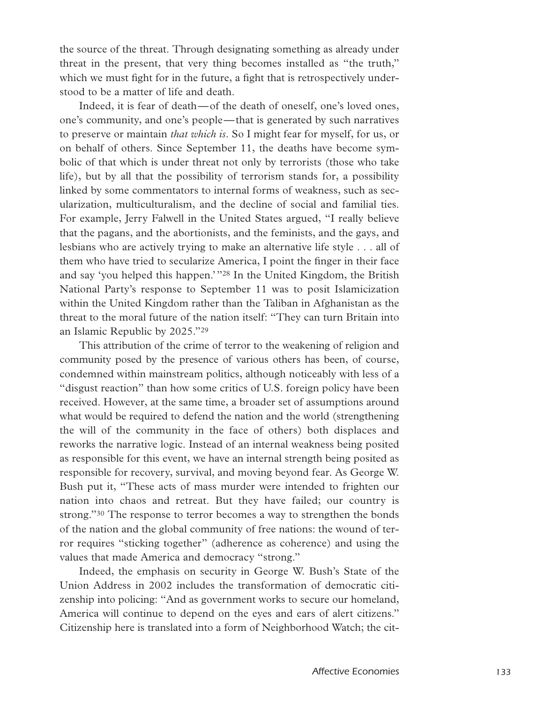the source of the threat. Through designating something as already under threat in the present, that very thing becomes installed as "the truth," which we must fight for in the future, a fight that is retrospectively understood to be a matter of life and death.

Indeed, it is fear of death—of the death of oneself, one's loved ones, one's community, and one's people—that is generated by such narratives to preserve or maintain *that which is*. So I might fear for myself, for us, or on behalf of others. Since September 11, the deaths have become symbolic of that which is under threat not only by terrorists (those who take life), but by all that the possibility of terrorism stands for, a possibility linked by some commentators to internal forms of weakness, such as secularization, multiculturalism, and the decline of social and familial ties. For example, Jerry Falwell in the United States argued, "I really believe that the pagans, and the abortionists, and the feminists, and the gays, and lesbians who are actively trying to make an alternative life style . . . all of them who have tried to secularize America, I point the finger in their face and say 'you helped this happen.'"28 In the United Kingdom, the British National Party's response to September 11 was to posit Islamicization within the United Kingdom rather than the Taliban in Afghanistan as the threat to the moral future of the nation itself: "They can turn Britain into an Islamic Republic by 2025."29

This attribution of the crime of terror to the weakening of religion and community posed by the presence of various others has been, of course, condemned within mainstream politics, although noticeably with less of a "disgust reaction" than how some critics of U.S. foreign policy have been received. However, at the same time, a broader set of assumptions around what would be required to defend the nation and the world (strengthening the will of the community in the face of others) both displaces and reworks the narrative logic. Instead of an internal weakness being posited as responsible for this event, we have an internal strength being posited as responsible for recovery, survival, and moving beyond fear. As George W. Bush put it, "These acts of mass murder were intended to frighten our nation into chaos and retreat. But they have failed; our country is strong."30 The response to terror becomes a way to strengthen the bonds of the nation and the global community of free nations: the wound of terror requires "sticking together" (adherence as coherence) and using the values that made America and democracy "strong."

Indeed, the emphasis on security in George W. Bush's State of the Union Address in 2002 includes the transformation of democratic citizenship into policing: "And as government works to secure our homeland, America will continue to depend on the eyes and ears of alert citizens." Citizenship here is translated into a form of Neighborhood Watch; the cit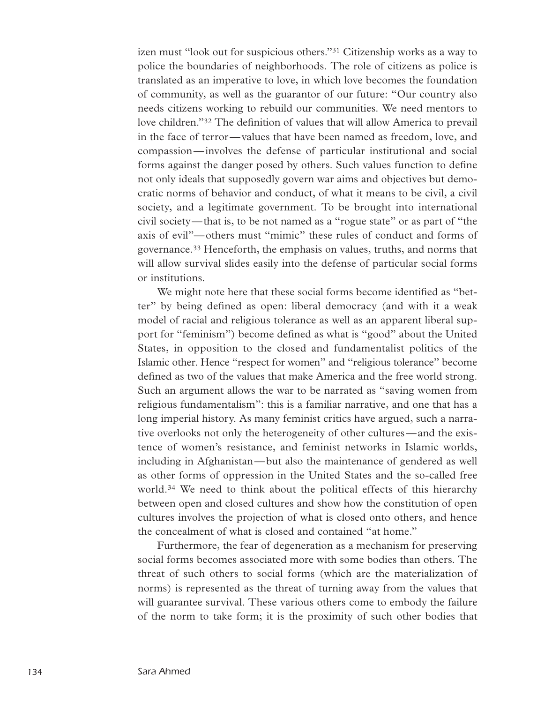izen must "look out for suspicious others."31 Citizenship works as a way to police the boundaries of neighborhoods. The role of citizens as police is translated as an imperative to love, in which love becomes the foundation of community, as well as the guarantor of our future: "Our country also needs citizens working to rebuild our communities. We need mentors to love children."32 The definition of values that will allow America to prevail in the face of terror—values that have been named as freedom, love, and compassion—involves the defense of particular institutional and social forms against the danger posed by others. Such values function to define not only ideals that supposedly govern war aims and objectives but democratic norms of behavior and conduct, of what it means to be civil, a civil society, and a legitimate government. To be brought into international civil society—that is, to be not named as a "rogue state" or as part of "the axis of evil"—others must "mimic" these rules of conduct and forms of governance.33 Henceforth, the emphasis on values, truths, and norms that will allow survival slides easily into the defense of particular social forms or institutions.

We might note here that these social forms become identified as "better" by being defined as open: liberal democracy (and with it a weak model of racial and religious tolerance as well as an apparent liberal support for "feminism") become defined as what is "good" about the United States, in opposition to the closed and fundamentalist politics of the Islamic other. Hence "respect for women" and "religious tolerance" become defined as two of the values that make America and the free world strong. Such an argument allows the war to be narrated as "saving women from religious fundamentalism": this is a familiar narrative, and one that has a long imperial history. As many feminist critics have argued, such a narrative overlooks not only the heterogeneity of other cultures—and the existence of women's resistance, and feminist networks in Islamic worlds, including in Afghanistan—but also the maintenance of gendered as well as other forms of oppression in the United States and the so-called free world.34 We need to think about the political effects of this hierarchy between open and closed cultures and show how the constitution of open cultures involves the projection of what is closed onto others, and hence the concealment of what is closed and contained "at home."

Furthermore, the fear of degeneration as a mechanism for preserving social forms becomes associated more with some bodies than others. The threat of such others to social forms (which are the materialization of norms) is represented as the threat of turning away from the values that will guarantee survival. These various others come to embody the failure of the norm to take form; it is the proximity of such other bodies that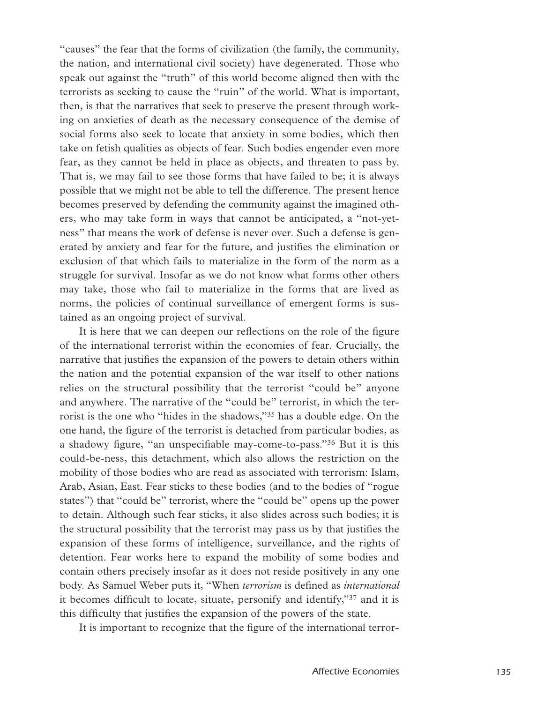"causes" the fear that the forms of civilization (the family, the community, the nation, and international civil society) have degenerated. Those who speak out against the "truth" of this world become aligned then with the terrorists as seeking to cause the "ruin" of the world. What is important, then, is that the narratives that seek to preserve the present through working on anxieties of death as the necessary consequence of the demise of social forms also seek to locate that anxiety in some bodies, which then take on fetish qualities as objects of fear. Such bodies engender even more fear, as they cannot be held in place as objects, and threaten to pass by. That is, we may fail to see those forms that have failed to be; it is always possible that we might not be able to tell the difference. The present hence becomes preserved by defending the community against the imagined others, who may take form in ways that cannot be anticipated, a "not-yetness" that means the work of defense is never over. Such a defense is generated by anxiety and fear for the future, and justifies the elimination or exclusion of that which fails to materialize in the form of the norm as a struggle for survival. Insofar as we do not know what forms other others may take, those who fail to materialize in the forms that are lived as norms, the policies of continual surveillance of emergent forms is sustained as an ongoing project of survival.

It is here that we can deepen our reflections on the role of the figure of the international terrorist within the economies of fear. Crucially, the narrative that justifies the expansion of the powers to detain others within the nation and the potential expansion of the war itself to other nations relies on the structural possibility that the terrorist "could be" anyone and anywhere. The narrative of the "could be" terrorist, in which the terrorist is the one who "hides in the shadows,"35 has a double edge. On the one hand, the figure of the terrorist is detached from particular bodies, as a shadowy figure, "an unspecifiable may-come-to-pass."36 But it is this could-be-ness, this detachment, which also allows the restriction on the mobility of those bodies who are read as associated with terrorism: Islam, Arab, Asian, East. Fear sticks to these bodies (and to the bodies of "rogue states") that "could be" terrorist, where the "could be" opens up the power to detain. Although such fear sticks, it also slides across such bodies; it is the structural possibility that the terrorist may pass us by that justifies the expansion of these forms of intelligence, surveillance, and the rights of detention. Fear works here to expand the mobility of some bodies and contain others precisely insofar as it does not reside positively in any one body. As Samuel Weber puts it, "When *terrorism* is defined as *international* it becomes difficult to locate, situate, personify and identify,"37 and it is this difficulty that justifies the expansion of the powers of the state.

It is important to recognize that the figure of the international terror-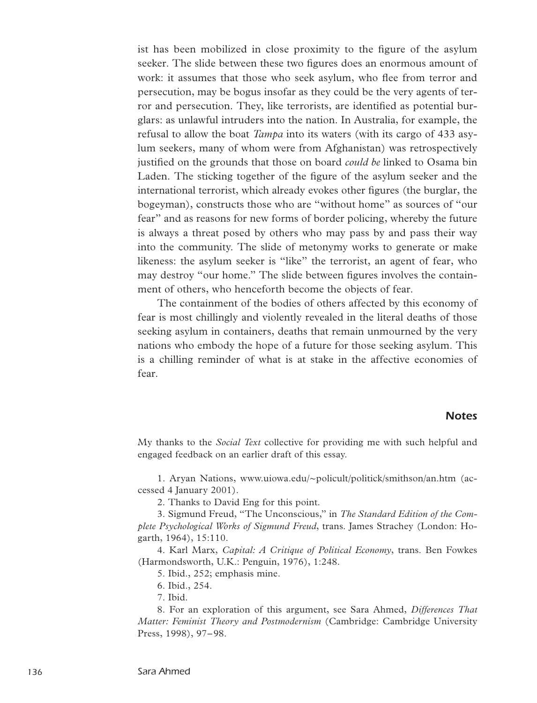ist has been mobilized in close proximity to the figure of the asylum seeker. The slide between these two figures does an enormous amount of work: it assumes that those who seek asylum, who flee from terror and persecution, may be bogus insofar as they could be the very agents of terror and persecution. They, like terrorists, are identified as potential burglars: as unlawful intruders into the nation. In Australia, for example, the refusal to allow the boat *Tampa* into its waters (with its cargo of 433 asylum seekers, many of whom were from Afghanistan) was retrospectively justified on the grounds that those on board *could be* linked to Osama bin Laden. The sticking together of the figure of the asylum seeker and the international terrorist, which already evokes other figures (the burglar, the bogeyman), constructs those who are "without home" as sources of "our fear" and as reasons for new forms of border policing, whereby the future is always a threat posed by others who may pass by and pass their way into the community. The slide of metonymy works to generate or make likeness: the asylum seeker is "like" the terrorist, an agent of fear, who may destroy "our home." The slide between figures involves the containment of others, who henceforth become the objects of fear.

The containment of the bodies of others affected by this economy of fear is most chillingly and violently revealed in the literal deaths of those seeking asylum in containers, deaths that remain unmourned by the very nations who embody the hope of a future for those seeking asylum. This is a chilling reminder of what is at stake in the affective economies of fear.

#### *Notes*

My thanks to the *Social Text* collective for providing me with such helpful and engaged feedback on an earlier draft of this essay.

1. Aryan Nations, www.uiowa.edu/~policult/politick/smithson/an.htm (accessed 4 January 2001).

2. Thanks to David Eng for this point.

3. Sigmund Freud, "The Unconscious," in *The Standard Edition of the Complete Psychological Works of Sigmund Freud*, trans. James Strachey (London: Hogarth, 1964), 15:110.

4. Karl Marx, *Capital: A Critique of Political Economy*, trans. Ben Fowkes (Harmondsworth, U.K.: Penguin, 1976), 1:248.

5. Ibid., 252; emphasis mine.

6. Ibid., 254.

7. Ibid.

8. For an exploration of this argument, see Sara Ahmed, *Differences That Matter: Feminist Theory and Postmodernism* (Cambridge: Cambridge University Press, 1998), 97–98.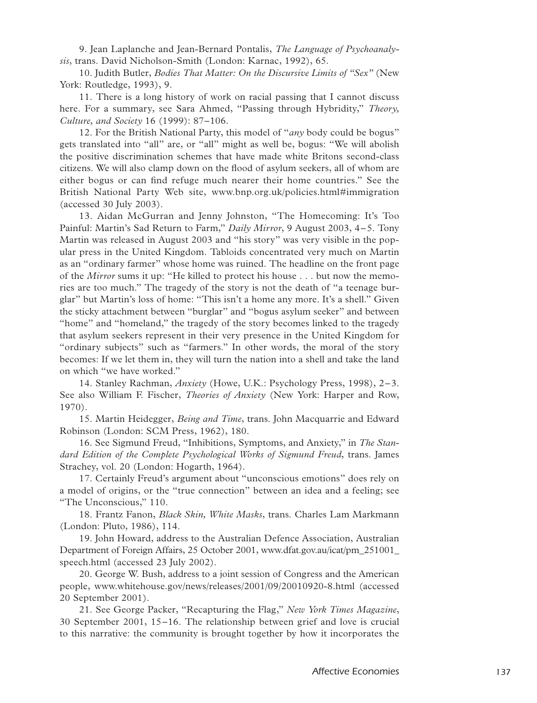9. Jean Laplanche and Jean-Bernard Pontalis, *The Language of Psychoanalysis*, trans. David Nicholson-Smith (London: Karnac, 1992), 65.

10. Judith Butler, *Bodies That Matter: On the Discursive Limits of "Sex"* (New York: Routledge, 1993), 9.

11. There is a long history of work on racial passing that I cannot discuss here. For a summary, see Sara Ahmed, "Passing through Hybridity," *Theory, Culture, and Society* 16 (1999): 87–106.

12. For the British National Party, this model of "*any* body could be bogus" gets translated into "all" are, or "all" might as well be, bogus: "We will abolish the positive discrimination schemes that have made white Britons second-class citizens. We will also clamp down on the flood of asylum seekers, all of whom are either bogus or can find refuge much nearer their home countries." See the British National Party Web site, www.bnp.org.uk/policies.html#immigration (accessed 30 July 2003).

13. Aidan McGurran and Jenny Johnston, "The Homecoming: It's Too Painful: Martin's Sad Return to Farm," *Daily Mirror*, 9 August 2003, 4–5. Tony Martin was released in August 2003 and "his story" was very visible in the popular press in the United Kingdom. Tabloids concentrated very much on Martin as an "ordinary farmer" whose home was ruined. The headline on the front page of the *Mirror* sums it up: "He killed to protect his house . . . but now the memories are too much." The tragedy of the story is not the death of "a teenage burglar" but Martin's loss of home: "This isn't a home any more. It's a shell." Given the sticky attachment between "burglar" and "bogus asylum seeker" and between "home" and "homeland," the tragedy of the story becomes linked to the tragedy that asylum seekers represent in their very presence in the United Kingdom for "ordinary subjects" such as "farmers." In other words, the moral of the story becomes: If we let them in, they will turn the nation into a shell and take the land on which "we have worked."

14. Stanley Rachman, *Anxiety* (Howe, U.K.: Psychology Press, 1998), 2–3. See also William F. Fischer, *Theories of Anxiety* (New York: Harper and Row, 1970).

15. Martin Heidegger, *Being and Time*, trans. John Macquarrie and Edward Robinson (London: SCM Press, 1962), 180.

16. See Sigmund Freud, "Inhibitions, Symptoms, and Anxiety," in *The Standard Edition of the Complete Psychological Works of Sigmund Freud*, trans. James Strachey, vol. 20 (London: Hogarth, 1964).

17. Certainly Freud's argument about "unconscious emotions" does rely on a model of origins, or the "true connection" between an idea and a feeling; see "The Unconscious," 110.

18. Frantz Fanon, *Black Skin, White Masks*, trans. Charles Lam Markmann (London: Pluto, 1986), 114.

19. John Howard, address to the Australian Defence Association, Australian Department of Foreign Affairs, 25 October 2001, www.dfat.gov.au/icat/pm\_251001\_ speech.html (accessed 23 July 2002).

20. George W. Bush, address to a joint session of Congress and the American people, www.whitehouse.gov/news/releases/2001/09/20010920-8.html (accessed 20 September 2001).

21. See George Packer, "Recapturing the Flag," *New York Times Magazine*, 30 September 2001, 15–16. The relationship between grief and love is crucial to this narrative: the community is brought together by how it incorporates the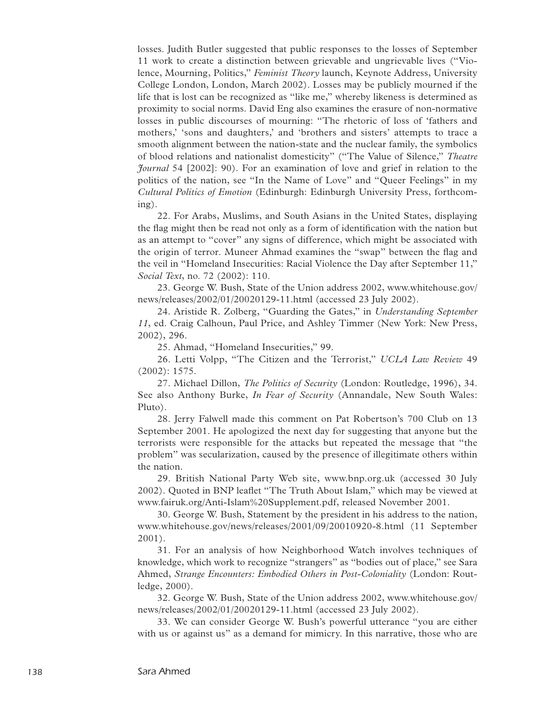losses. Judith Butler suggested that public responses to the losses of September 11 work to create a distinction between grievable and ungrievable lives ("Violence, Mourning, Politics," *Feminist Theory* launch, Keynote Address, University College London, London, March 2002). Losses may be publicly mourned if the life that is lost can be recognized as "like me," whereby likeness is determined as proximity to social norms. David Eng also examines the erasure of non-normative losses in public discourses of mourning: "The rhetoric of loss of 'fathers and mothers,' 'sons and daughters,' and 'brothers and sisters' attempts to trace a smooth alignment between the nation-state and the nuclear family, the symbolics of blood relations and nationalist domesticity" ("The Value of Silence," *Theatre Journal* 54 [2002]: 90). For an examination of love and grief in relation to the politics of the nation, see "In the Name of Love" and "Queer Feelings" in my *Cultural Politics of Emotion* (Edinburgh: Edinburgh University Press, forthcoming).

22. For Arabs, Muslims, and South Asians in the United States, displaying the flag might then be read not only as a form of identification with the nation but as an attempt to "cover" any signs of difference, which might be associated with the origin of terror. Muneer Ahmad examines the "swap" between the flag and the veil in "Homeland Insecurities: Racial Violence the Day after September 11," *Social Text*, no. 72 (2002): 110.

23. George W. Bush, State of the Union address 2002, www.whitehouse.gov/ news/releases/2002/01/20020129-11.html (accessed 23 July 2002).

24. Aristide R. Zolberg, "Guarding the Gates," in *Understanding September 11*, ed. Craig Calhoun, Paul Price, and Ashley Timmer (New York: New Press, 2002), 296.

25. Ahmad, "Homeland Insecurities," 99.

26. Letti Volpp, "The Citizen and the Terrorist," *UCLA Law Review* 49 (2002): 1575.

27. Michael Dillon, *The Politics of Security* (London: Routledge, 1996), 34. See also Anthony Burke, *In Fear of Security* (Annandale, New South Wales: Pluto).

28. Jerry Falwell made this comment on Pat Robertson's 700 Club on 13 September 2001. He apologized the next day for suggesting that anyone but the terrorists were responsible for the attacks but repeated the message that "the problem" was secularization, caused by the presence of illegitimate others within the nation.

29. British National Party Web site, www.bnp.org.uk (accessed 30 July 2002). Quoted in BNP leaflet "The Truth About Islam," which may be viewed at www.fairuk.org/Anti-Islam%20Supplement.pdf, released November 2001.

30. George W. Bush, Statement by the president in his address to the nation, www.whitehouse.gov/news/releases/2001/09/20010920-8.html (11 September 2001).

31. For an analysis of how Neighborhood Watch involves techniques of knowledge, which work to recognize "strangers" as "bodies out of place," see Sara Ahmed, *Strange Encounters: Embodied Others in Post-Coloniality* (London: Routledge, 2000).

32. George W. Bush, State of the Union address 2002, www.whitehouse.gov/ news/releases/2002/01/20020129-11.html (accessed 23 July 2002).

33. We can consider George W. Bush's powerful utterance "you are either with us or against us" as a demand for mimicry. In this narrative, those who are